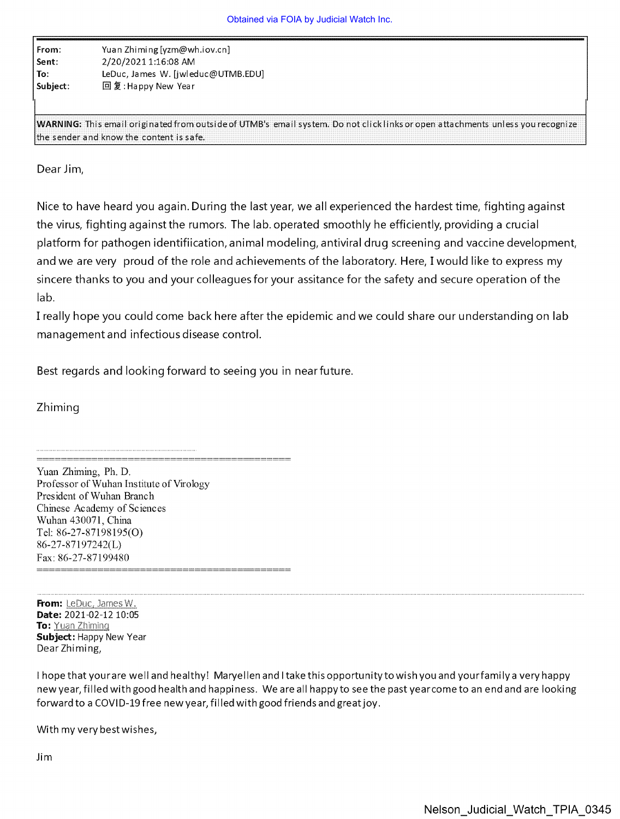| From:    | Yuan Zhiming [yzm@wh.iov.cn]       |
|----------|------------------------------------|
| Sent:    | 2/20/2021 1:16:08 AM               |
| l To:    | LeDuc, James W. [jwleduc@UTMB.EDU] |
| Subject: | 回复: Happy New Year                 |

WARNING: This email originated from outside of UTMB's email system. Do not click links or open attachments unless you recognize the sender and know the content is safe.

Dear Jim,

Nice to have heard you again. During the last year, we all experienced the hardest time, fighting against the virus, fighting against the rumors. The lab. operated smoothly he efficiently, providing a crucial platform for pathogen identifiication, animal modeling, antiviral drug screening and vaccine development, and we are very proud of the role and achievements of the laboratory. Here, I would like to express my sincere thanks to you and your colleagues for your assitance for the safety and secure operation of the lab.

I really hope you could come back here after the epidemic and we could share our understanding on lab management and infectious disease control.

Best regards and looking forward to seeing you in nearfuture.

Zhiming

Yuan Zhiming, Ph. D. Professor of Wuhan Institute of Virology President of Wuhan Branch Chinese Academy of Sciences Wuhan 430071, China Tel: 86-27-87198195(0) 86-27-87197242(L) Fax: 86-27-87199480

From: LeDuc, James W. Date: 2021-02-12 10:05 To: Yuan Zhiming Subject: Happy New Year Dear Zhiming,

I hope that your are well and healthy! Maryellen and I take this opportunity to wish you and yourfami ly a very happy new year, filled with good health and happiness. We are all happy to see the past year come to an end and are looking forward to a COVID-19 free new year, filled with good friends and great joy.

With my very best wishes,

Jim